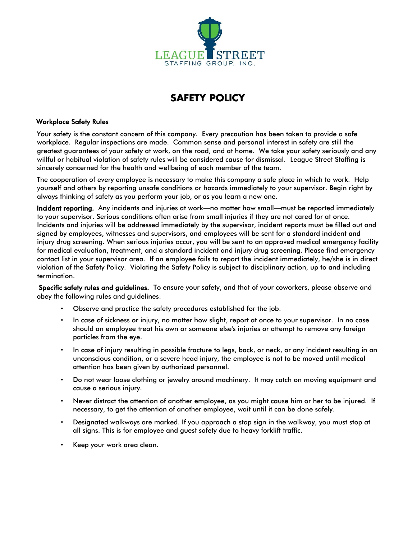

### Workplace Safety Rules

Your safety is the constant concern of this company. Every precaution has been taken to provide a safe workplace. Regular inspections are made. Common sense and personal interest in safety are still the greatest guarantees of your safety at work, on the road, and at home. We take your safety seriously and any willful or habitual violation of safety rules will be considered cause for dismissal. League Street Staffing is sincerely concerned for the health and wellbeing of each member of the team.

The cooperation of every employee is necessary to make this company a safe place in which to work. Help yourself and others by reporting unsafe conditions or hazards immediately to your supervisor. Begin right by always thinking of safety as you perform your job, or as you learn a new one.

Incident reporting. Any incidents and injuries at work—no matter how small—must be reported immediately to your supervisor. Serious conditions often arise from small injuries if they are not cared for at once. Incidents and injuries will be addressed immediately by the supervisor, incident reports must be filled out and signed by employees, witnesses and supervisors, and employees will be sent for a standard incident and injury drug screening. When serious injuries occur, you will be sent to an approved medical emergency facility for medical evaluation, treatment, and a standard incident and injury drug screening. Please find emergency contact list in your supervisor area. If an employee fails to report the incident immediately, he/she is in direct violation of the Safety Policy. Violating the Safety Policy is subject to disciplinary action, up to and including termination.

Specific safety rules and guidelines. To ensure your safety, and that of your coworkers, please observe and obey the following rules and guidelines:

- Observe and practice the safety procedures established for the job.
- In case of sickness or injury, no matter how slight, report at once to your supervisor. In no case should an employee treat his own or someone else's injuries or attempt to remove any foreign particles from the eye.
- In case of injury resulting in possible fracture to legs, back, or neck, or any incident resulting in an unconscious condition, or a severe head injury, the employee is not to be moved until medical attention has been given by authorized personnel.
- Do not wear loose clothing or jewelry around machinery. It may catch on moving equipment and cause a serious injury.
- Never distract the attention of another employee, as you might cause him or her to be injured. If necessary, to get the attention of another employee, wait until it can be done safely.
- Designated walkways are marked. If you approach a stop sign in the walkway, you must stop at all signs. This is for employee and guest safety due to heavy forklift traffic.
- Keep your work area clean.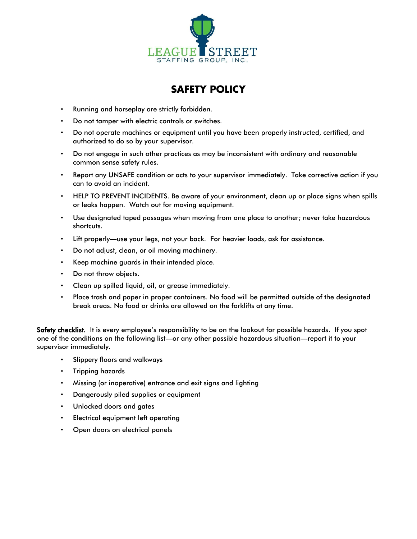

- Running and horseplay are strictly forbidden.
- Do not tamper with electric controls or switches.
- Do not operate machines or equipment until you have been properly instructed, certified, and authorized to do so by your supervisor.
- Do not engage in such other practices as may be inconsistent with ordinary and reasonable common sense safety rules.
- Report any UNSAFE condition or acts to your supervisor immediately. Take corrective action if you can to avoid an incident.
- HELP TO PREVENT INCIDENTS. Be aware of your environment, clean up or place signs when spills or leaks happen. Watch out for moving equipment.
- Use designated taped passages when moving from one place to another; never take hazardous shortcuts.
- Lift properly—use your legs, not your back. For heavier loads, ask for assistance.
- Do not adjust, clean, or oil moving machinery.
- Keep machine guards in their intended place.
- Do not throw objects.
- Clean up spilled liquid, oil, or grease immediately.
- Place trash and paper in proper containers. No food will be permitted outside of the designated break areas. No food or drinks are allowed on the forklifts at any time.

Safety checklist. It is every employee's responsibility to be on the lookout for possible hazards. If you spot one of the conditions on the following list—or any other possible hazardous situation—report it to your supervisor immediately.

- Slippery floors and walkways
- Tripping hazards
- Missing (or inoperative) entrance and exit signs and lighting
- Dangerously piled supplies or equipment
- Unlocked doors and gates
- Electrical equipment left operating
- Open doors on electrical panels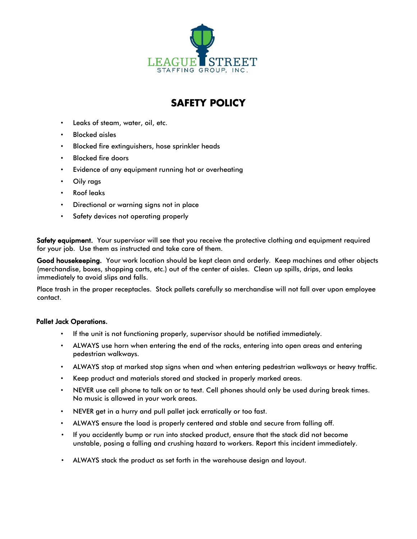

- Leaks of steam, water, oil, etc.
- Blocked aisles
- Blocked fire extinguishers, hose sprinkler heads
- Blocked fire doors
- Evidence of any equipment running hot or overheating
- Oily rags
- Roof leaks
- Directional or warning signs not in place
- Safety devices not operating properly

Safety equipment. Your supervisor will see that you receive the protective clothing and equipment required for your job. Use them as instructed and take care of them.

Good housekeeping. Your work location should be kept clean and orderly. Keep machines and other objects (merchandise, boxes, shopping carts, etc.) out of the center of aisles. Clean up spills, drips, and leaks immediately to avoid slips and falls.

Place trash in the proper receptacles. Stock pallets carefully so merchandise will not fall over upon employee contact.

### Pallet Jack Operations.

- If the unit is not functioning properly, supervisor should be notified immediately.
- ALWAYS use horn when entering the end of the racks, entering into open areas and entering pedestrian walkways.
- ALWAYS stop at marked stop signs when and when entering pedestrian walkways or heavy traffic.
- Keep product and materials stored and stacked in properly marked areas.
- NEVER use cell phone to talk on or to text. Cell phones should only be used during break times. No music is allowed in your work areas.
- NEVER get in a hurry and pull pallet jack erratically or too fast.
- ALWAYS ensure the load is properly centered and stable and secure from falling off.
- If you accidently bump or run into stacked product, ensure that the stack did not become unstable, posing a falling and crushing hazard to workers. Report this incident immediately.
- ALWAYS stack the product as set forth in the warehouse design and layout.